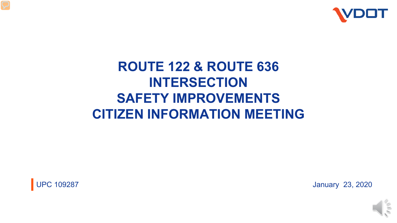

# **ROUTE 122 & ROUTE 636 INTERSECTION SAFETY IMPROVEMENTS CITIZEN INFORMATION MEETING**



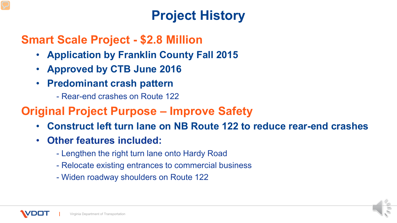# **Project History**

### **Smart Scale Project - \$2.8 Million**

- **Application by Franklin County Fall 2015**
- **Approved by CTB June 2016**
- **Predominant crash pattern** 
	- Rear-end crashes on Route 122

### **Original Project Purpose – Improve Safety**

- **Construct left turn lane on NB Route 122 to reduce rear-end crashes**
- **Other features included:**
	- Lengthen the right turn lane onto Hardy Road
	- Relocate existing entrances to commercial business
	- Widen roadway shoulders on Route 122

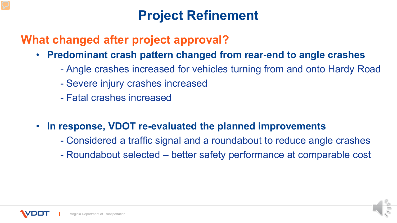## **Project Refinement**

### **What changed after project approval?**

- **Predominant crash pattern changed from rear-end to angle crashes**
	- Angle crashes increased for vehicles turning from and onto Hardy Road
	- Severe injury crashes increased
	- Fatal crashes increased
- **In response, VDOT re-evaluated the planned improvements**
	- Considered a traffic signal and a roundabout to reduce angle crashes
	- Roundabout selected better safety performance at comparable cost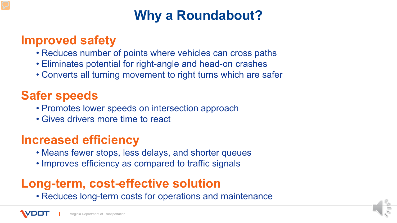# **Why a Roundabout?**

### **Improved safety**

- Reduces number of points where vehicles can cross paths
- Eliminates potential for right-angle and head-on crashes
- Converts all turning movement to right turns which are safer

## **Safer speeds**

- Promotes lower speeds on intersection approach
- Gives drivers more time to react

## **Increased efficiency**

- Means fewer stops, less delays, and shorter queues
- Improves efficiency as compared to traffic signals

## **Long-term, cost-effective solution**

• Reduces long-term costs for operations and maintenance

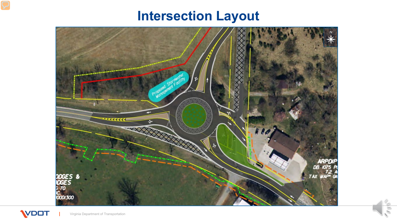## **Intersection Layout**

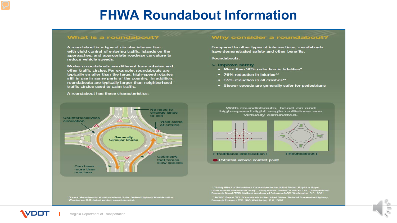### **FHWA Roundabout Information**

#### What is a roundabout?

A roundabout is a type of circular intersection with yield control of entering traffic, islands on the approaches, and appropriate roadway curvature to reduce vehicle speeds.

Modern roundabouts are different from rotaries and other traffic circles. For example, roundabouts are typically smaller than the large, high-speed rotaries still in use in some parts of the country. In addition, roundabouts are typically larger than neighborhood traffic circles used to calm traffic.

#### A roundabout has these characteristics:

#### No need to change lanes to exit Counterclockwise circulation **Yield signs** at entries Generally **Circular Shape Geometry** that forces slow speeds Can have more than one lane

Source: Roundabouts: An Informational Guide. Federal Highway Administration,<br>Washington, D.C., latest version, except as noted.

#### Why consider a roundabout?

Compared to other types of intersections, roundabouts have demonstrated safety and other benefits.

#### **Roundabouts:**

- > Improve safety
	- More than 90% reduction in fatalities\*
	- 76% reduction in injuries\*\*
	- 35% reduction in all crashes\*\*
	- Slower speeds are generally safer for pedestrians

With roundabouts, head-on and high-speed right angle collisions are virtually eliminated.





[Roundabout]

Potential vehicle conflict point

Observational Before-After Study." Transportation Research Record 1751, Transportation<br>Research Board (TRB), National Academy of Sciences (NAS), Washington, D.C., 2001.

\*\* NCHRP Report 572: Roundabouts in the United States. National Cooperative Highway Research Program, TRB, NAS, Washington, D.C., 2007.